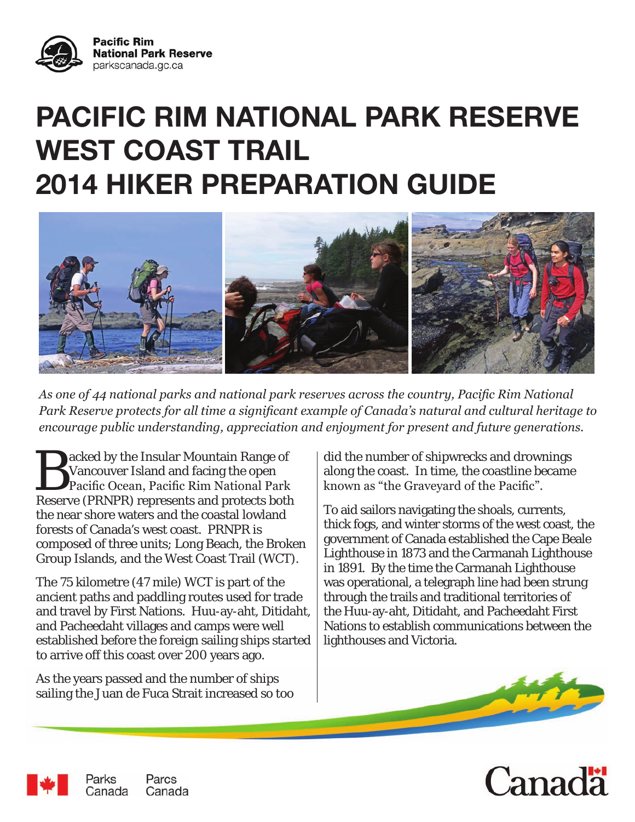

# **PACIFIC RIM NATIONAL PARK RESERVE WEST COAST TRAIL 2014 HIKER PREPARATION GUIDE**



*As one of 44 national parks and national park reserves across the country, Pacific Rim National Park Reserve protects for all time a significant example of Canada's natural and cultural heritage to encourage public understanding, appreciation and enjoyment for present and future generations.*

acked by the Insular Mountain Range of Vancouver Island and facing the open Pacific Ocean, Pacific Rim National Park Reserve (PRNPR) represents and protects both the near shore waters and the coastal lowland forests of Canada's west coast. PRNPR is composed of three units; Long Beach, the Broken Group Islands, and the West Coast Trail (WCT).

The 75 kilometre (47 mile) WCT is part of the ancient paths and paddling routes used for trade and travel by First Nations. Huu-ay-aht, Ditidaht, and Pacheedaht villages and camps were well established before the foreign sailing ships started to arrive off this coast over 200 years ago.

As the years passed and the number of ships sailing the Juan de Fuca Strait increased so too did the number of shipwrecks and drownings along the coast. In time, the coastline became known as "the Graveyard of the Pacific".

To aid sailors navigating the shoals, currents, thick fogs, and winter storms of the west coast, the government of Canada established the Cape Beale Lighthouse in 1873 and the Carmanah Lighthouse in 1891. By the time the Carmanah Lighthouse was operational, a telegraph line had been strung through the trails and traditional territories of the Huu-ay-aht, Ditidaht, and Pacheedaht First Nations to establish communications between the lighthouses and Victoria.





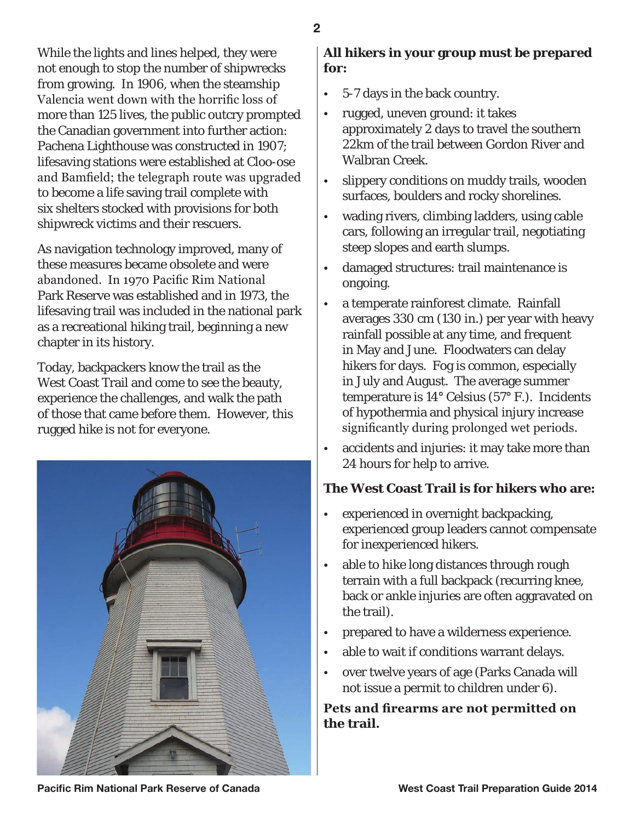While the lights and lines helped, they were not enough to stop the number of shipwrecks from growing. In 1906, when the steamship Valencia went down with the horrific loss of more than 125 lives, the public outcry prompted the Canadian government into further action: Pachena Lighthouse was constructed in 1907; lifesaving stations were established at Cloo-ose and Bamfield; the telegraph route was upgraded to become a life saving trail complete with six shelters stocked with provisions for both shipwreck victims and their rescuers.

As navigation technology improved, many of these measures became obsolete and were abandoned. In 1970 Pacific Rim National Park Reserve was established and in 1973, the lifesaving trail was included in the national park as a recreational hiking trail, beginning a new chapter in its history.

Today, backpackers know the trail as the West Coast Trail and come to see the beauty, experience the challenges, and walk the path of those that came before them. However, this rugged hike is not for everyone.



### **All hikers in your group must be prepared for:**

- 5-7 days in the back country.
- rugged, uneven ground: it takes approximately 2 days to travel the southern 22km of the trail between Gordon River and Walbran Creek.
- slippery conditions on muddy trails, wooden surfaces, boulders and rocky shorelines.
- wading rivers, climbing ladders, using cable cars, following an irregular trail, negotiating steep slopes and earth slumps.
- damaged structures: trail maintenance is ongoing.
- a temperate rainforest climate. Rainfall averages 330 cm (130 in.) per year with heavy rainfall possible at any time, and frequent in May and June. Floodwaters can delay hikers for days. Fog is common, especially in July and August. The average summer temperature is 14° Celsius (57° F.). Incidents of hypothermia and physical injury increase significantly during prolonged wet periods.
- accidents and injuries: it may take more than 24 hours for help to arrive.

## **The West Coast Trail is for hikers who are:**

- experienced in overnight backpacking, experienced group leaders cannot compensate for inexperienced hikers.
- able to hike long distances through rough terrain with a full backpack (recurring knee, back or ankle injuries are often aggravated on the trail).
- prepared to have a wilderness experience.
- able to wait if conditions warrant delays.
- over twelve years of age (Parks Canada will not issue a permit to children under 6).

**Pets and firearms are not permitted on the trail.**

**Pacific Rim National Park Reserve of Canada Noting the Section West Coast Trail Preparation Guide 2014**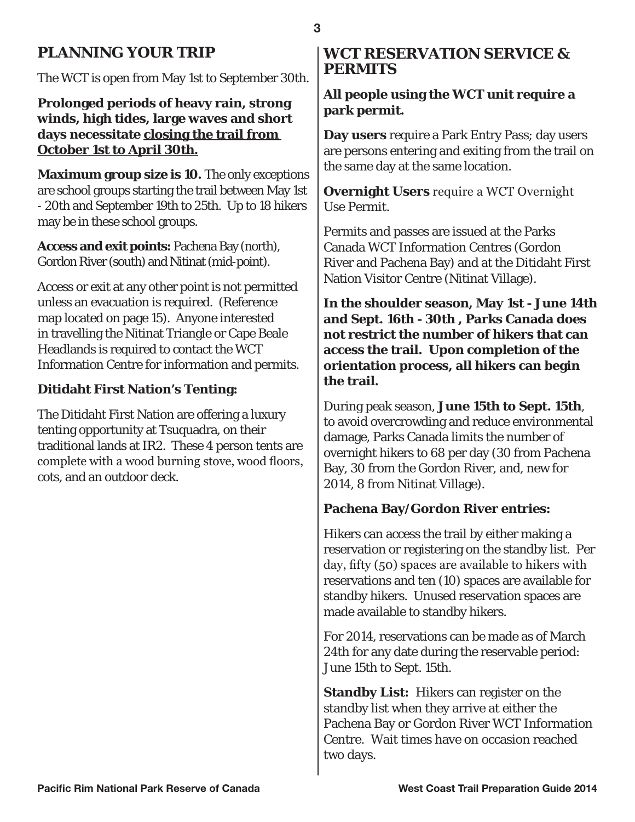## **PLANNING YOUR TRIP**

The WCT is open from May 1st to September 30th.

**Prolonged periods of heavy rain, strong winds, high tides, large waves and short days necessitate closing the trail from October 1st to April 30th.**

**Maximum group size is 10.** The only exceptions are school groups starting the trail between May 1st - 20th and September 19th to 25th. Up to 18 hikers may be in these school groups.

**Access and exit points:** Pachena Bay (north), Gordon River (south) and Nitinat (mid-point).

Access or exit at any other point is not permitted unless an evacuation is required. (Reference map located on page 15). Anyone interested in travelling the Nitinat Triangle or Cape Beale Headlands is required to contact the WCT Information Centre for information and permits.

#### **Ditidaht First Nation's Tenting:**

The Ditidaht First Nation are offering a luxury tenting opportunity at Tsuquadra, on their traditional lands at IR2. These 4 person tents are complete with a wood burning stove, wood floors, cots, and an outdoor deck.

#### **WCT RESERVATION SERVICE & PERMITS**

#### **All people using the WCT unit require a park permit.**

**Day users** require a Park Entry Pass; day users are persons entering and exiting from the trail on the same day at the same location.

**Overnight Users** require a WCT Overnight Use Permit.

Permits and passes are issued at the Parks Canada WCT Information Centres (Gordon River and Pachena Bay) and at the Ditidaht First Nation Visitor Centre (Nitinat Village).

**In the shoulder season, May 1st - June 14th and Sept. 16th - 30th , Parks Canada does not restrict the number of hikers that can access the trail. Upon completion of the orientation process, all hikers can begin the trail.**

During peak season, **June 15th to Sept. 15th**, to avoid overcrowding and reduce environmental damage, Parks Canada limits the number of overnight hikers to 68 per day (30 from Pachena Bay, 30 from the Gordon River, and, new for 2014, 8 from Nitinat Village).

#### **Pachena Bay/Gordon River entries:**

Hikers can access the trail by either making a reservation or registering on the standby list. Per day, fifty (50) spaces are available to hikers with reservations and ten (10) spaces are available for standby hikers. Unused reservation spaces are made available to standby hikers.

For 2014, reservations can be made as of March 24th for any date during the reservable period: June 15th to Sept. 15th.

**Standby List:** Hikers can register on the standby list when they arrive at either the Pachena Bay or Gordon River WCT Information Centre. Wait times have on occasion reached two days.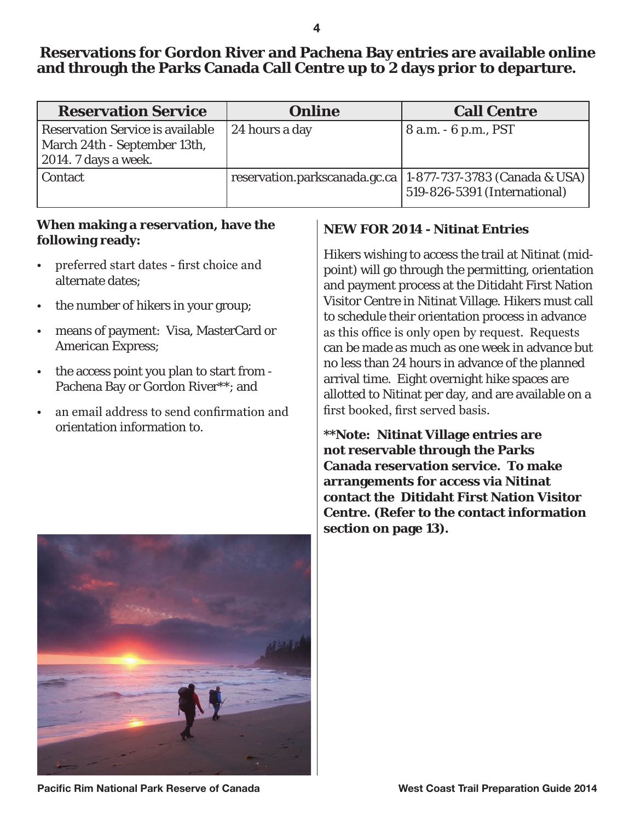## **Reservations for Gordon River and Pachena Bay entries are available online and through the Parks Canada Call Centre up to 2 days prior to departure.**

| <b>Reservation Service</b>                                                                              | <b>Online</b>  | <b>Call Centre</b>                                                                              |
|---------------------------------------------------------------------------------------------------------|----------------|-------------------------------------------------------------------------------------------------|
| <b>Reservation Service is available</b><br>March 24th - September 13th,<br>$\vert$ 2014. 7 days a week. | 24 hours a day | 8 a.m. - 6 p.m., PST                                                                            |
| <b>Contact</b>                                                                                          |                | reservation.parkscanada.gc.ca   1-877-737-3783 (Canada & USA)  <br>519-826-5391 (International) |

#### **When making a reservation, have the following ready:**

- preferred start dates first choice and alternate dates;
- the number of hikers in your group;
- means of payment: Visa, MasterCard or American Express;
- the access point you plan to start from Pachena Bay or Gordon River\*\*; and
- an email address to send confirmation and orientation information to.

### **NEW FOR 2014 - Nitinat Entries**

Hikers wishing to access the trail at Nitinat (midpoint) will go through the permitting, orientation and payment process at the Ditidaht First Nation Visitor Centre in Nitinat Village. Hikers must call to schedule their orientation process in advance as this office is only open by request. Requests can be made as much as one week in advance but no less than 24 hours in advance of the planned arrival time. Eight overnight hike spaces are allotted to Nitinat per day, and are available on a first booked, first served basis.

**\*\*Note: Nitinat Village entries are not reservable through the Parks Canada reservation service. To make arrangements for access via Nitinat contact the Ditidaht First Nation Visitor Centre. (Refer to the contact information section on page 13).**



**Pacific Rim National Park Reserve of Canada West Coast Trail Preparation Guide 2014**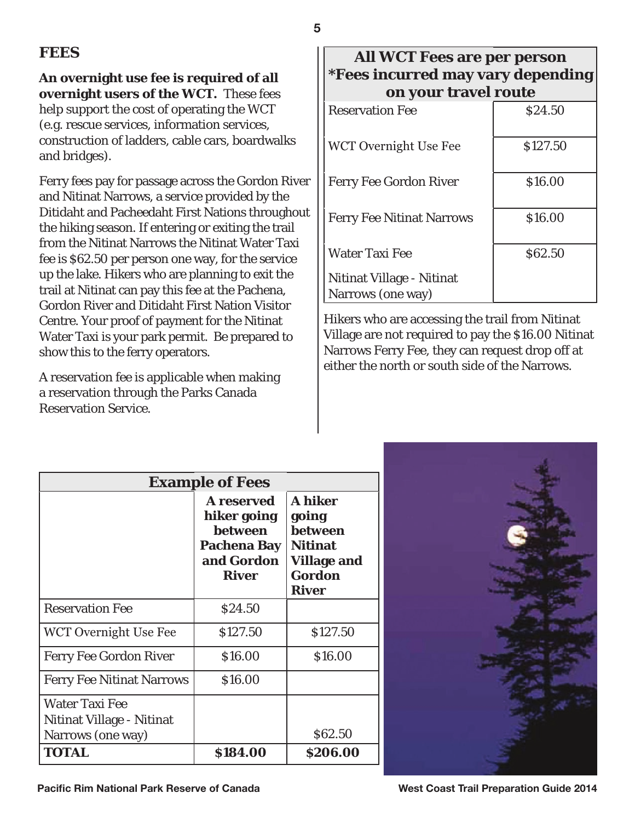## **FEES**

**An overnight use fee is required of all overnight users of the WCT.** These fees help support the cost of operating the WCT (e.g. rescue services, information services, construction of ladders, cable cars, boardwalks and bridges).

Ferry fees pay for passage across the Gordon River and Nitinat Narrows, a service provided by the Ditidaht and Pacheedaht First Nations throughout the hiking season. If entering or exiting the trail from the Nitinat Narrows the Nitinat Water Taxi fee is \$62.50 per person one way, for the service up the lake. Hikers who are planning to exit the trail at Nitinat can pay this fee at the Pachena, Gordon River and Ditidaht First Nation Visitor Centre. Your proof of payment for the Nitinat Water Taxi is your park permit. Be prepared to show this to the ferry operators.

A reservation fee is applicable when making a reservation through the Parks Canada Reservation Service.

### **All WCT Fees are per person \*Fees incurred may vary depending on your travel route**

| <b>Reservation Fee</b>                         | \$24.50  |
|------------------------------------------------|----------|
| WCT Overnight Use Fee                          | \$127.50 |
| <b>Ferry Fee Gordon River</b>                  | \$16.00  |
| <b>Ferry Fee Nitinat Narrows</b>               | \$16.00  |
| Water Taxi Fee                                 | \$62.50  |
| Nitinat Village - Nitinat<br>Narrows (one way) |          |

Hikers who are accessing the trail from Nitinat Village are not required to pay the \$16.00 Nitinat Narrows Ferry Fee, they can request drop off at either the north or south side of the Narrows.

| <b>Example of Fees</b>                                                  |                                                                                                 |                                                                                                      |
|-------------------------------------------------------------------------|-------------------------------------------------------------------------------------------------|------------------------------------------------------------------------------------------------------|
|                                                                         | <b>A</b> reserved<br>hiker going<br>between<br><b>Pachena Bay</b><br>and Gordon<br><b>River</b> | <b>A</b> hiker<br>going<br>between<br><b>Nitinat</b><br><b>Village and</b><br>Gordon<br><b>River</b> |
| <b>Reservation Fee</b>                                                  | \$24.50                                                                                         |                                                                                                      |
| WCT Overnight Use Fee                                                   | \$127.50                                                                                        | \$127.50                                                                                             |
| <b>Ferry Fee Gordon River</b>                                           | \$16.00                                                                                         | \$16.00                                                                                              |
| <b>Ferry Fee Nitinat Narrows</b>                                        | \$16.00                                                                                         |                                                                                                      |
| <b>Water Taxi Fee</b><br>Nitinat Village - Nitinat<br>Narrows (one way) |                                                                                                 | \$62.50                                                                                              |
| <b>TOTAL</b>                                                            | \$184.00                                                                                        | \$206.00                                                                                             |

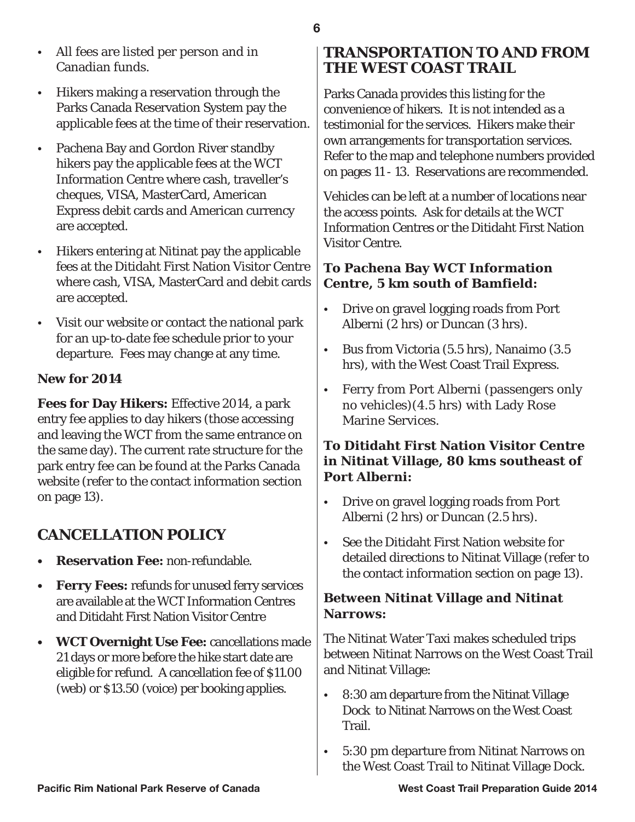- All fees are listed per person and in Canadian funds.
- Hikers making a reservation through the Parks Canada Reservation System pay the applicable fees at the time of their reservation.
- Pachena Bay and Gordon River standby hikers pay the applicable fees at the WCT Information Centre where cash, traveller's cheques, VISA, MasterCard, American Express debit cards and American currency are accepted.
- Hikers entering at Nitinat pay the applicable fees at the Ditidaht First Nation Visitor Centre where cash, VISA, MasterCard and debit cards are accepted.
- Visit our website or contact the national park for an up-to-date fee schedule prior to your departure. Fees may change at any time.

## **New for 2014**

**Fees for Day Hikers:** Effective 2014, a park entry fee applies to day hikers (those accessing and leaving the WCT from the same entrance on the same day). The current rate structure for the park entry fee can be found at the Parks Canada website (refer to the contact information section on page 13).

# **CANCELLATION POLICY**

- **• Reservation Fee:** non-refundable.
- **• Ferry Fees:** refunds for unused ferry services are available at the WCT Information Centres and Ditidaht First Nation Visitor Centre
- **• WCT Overnight Use Fee:** cancellations made 21 days or more before the hike start date are eligible for refund. A cancellation fee of \$11.00 (web) or \$13.50 (voice) per booking applies.

# **TRANSPORTATION TO AND FROM THE WEST COAST TRAIL**

Parks Canada provides this listing for the convenience of hikers. It is not intended as a testimonial for the services. Hikers make their own arrangements for transportation services. Refer to the map and telephone numbers provided on pages 11 - 13. Reservations are recommended.

Vehicles can be left at a number of locations near the access points. Ask for details at the WCT Information Centres or the Ditidaht First Nation Visitor Centre.

## **To Pachena Bay WCT Information Centre, 5 km south of Bamfield:**

- Drive on gravel logging roads from Port Alberni (2 hrs) or Duncan (3 hrs).
- Bus from Victoria (5.5 hrs), Nanaimo (3.5 hrs), with the West Coast Trail Express.
- Ferry from Port Alberni (passengers only no vehicles)(4.5 hrs) with Lady Rose Marine Services.

### **To Ditidaht First Nation Visitor Centre in Nitinat Village, 80 kms southeast of Port Alberni:**

- Drive on gravel logging roads from Port Alberni (2 hrs) or Duncan (2.5 hrs).
- See the Ditidaht First Nation website for detailed directions to Nitinat Village (refer to the contact information section on page 13).

## **Between Nitinat Village and Nitinat Narrows:**

The Nitinat Water Taxi makes scheduled trips between Nitinat Narrows on the West Coast Trail and Nitinat Village:

- 8:30 am departure from the Nitinat Village Dock to Nitinat Narrows on the West Coast Trail.
- 5:30 pm departure from Nitinat Narrows on the West Coast Trail to Nitinat Village Dock.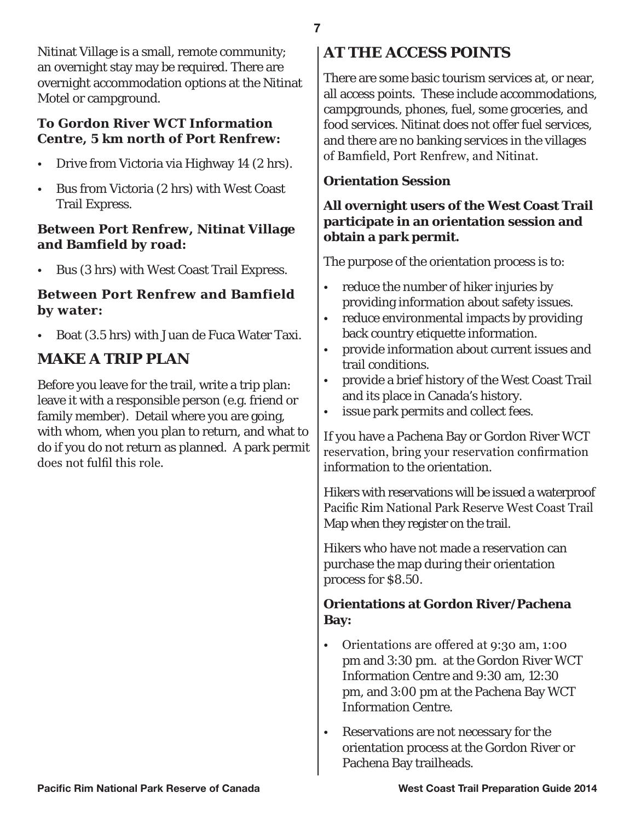Nitinat Village is a small, remote community; an overnight stay may be required. There are overnight accommodation options at the Nitinat Motel or campground.

#### **To Gordon River WCT Information Centre, 5 km north of Port Renfrew:**

- Drive from Victoria via Highway 14 (2 hrs).
- Bus from Victoria (2 hrs) with West Coast Trail Express.

#### **Between Port Renfrew, Nitinat Village and Bamfield by road:**

• Bus (3 hrs) with West Coast Trail Express.

#### **Between Port Renfrew and Bamfield by water:**

• Boat (3.5 hrs) with Juan de Fuca Water Taxi.

## **MAKE A TRIP PLAN**

Before you leave for the trail, write a trip plan: leave it with a responsible person (e.g. friend or family member). Detail where you are going, with whom, when you plan to return, and what to do if you do not return as planned. A park permit does not fulfil this role.

# **AT THE ACCESS POINTS**

There are some basic tourism services at, or near, all access points. These include accommodations, campgrounds, phones, fuel, some groceries, and food services. Nitinat does not offer fuel services, and there are no banking services in the villages of Bamfield, Port Renfrew, and Nitinat.

#### **Orientation Session**

#### **All overnight users of the West Coast Trail participate in an orientation session and obtain a park permit.**

The purpose of the orientation process is to:

- reduce the number of hiker injuries by providing information about safety issues.
- reduce environmental impacts by providing back country etiquette information.
- provide information about current issues and trail conditions.
- provide a brief history of the West Coast Trail and its place in Canada's history.
- issue park permits and collect fees.

If you have a Pachena Bay or Gordon River WCT reservation, bring your reservation confirmation information to the orientation.

Hikers with reservations will be issued a waterproof Pacific Rim National Park Reserve West Coast Trail Map when they register on the trail.

Hikers who have not made a reservation can purchase the map during their orientation process for \$8.50.

#### **Orientations at Gordon River/Pachena Bay:**

- Orientations are offered at 9:30 am, 1:00 pm and 3:30 pm. at the Gordon River WCT Information Centre and 9:30 am, 12:30 pm, and 3:00 pm at the Pachena Bay WCT Information Centre.
- Reservations are not necessary for the orientation process at the Gordon River or Pachena Bay trailheads.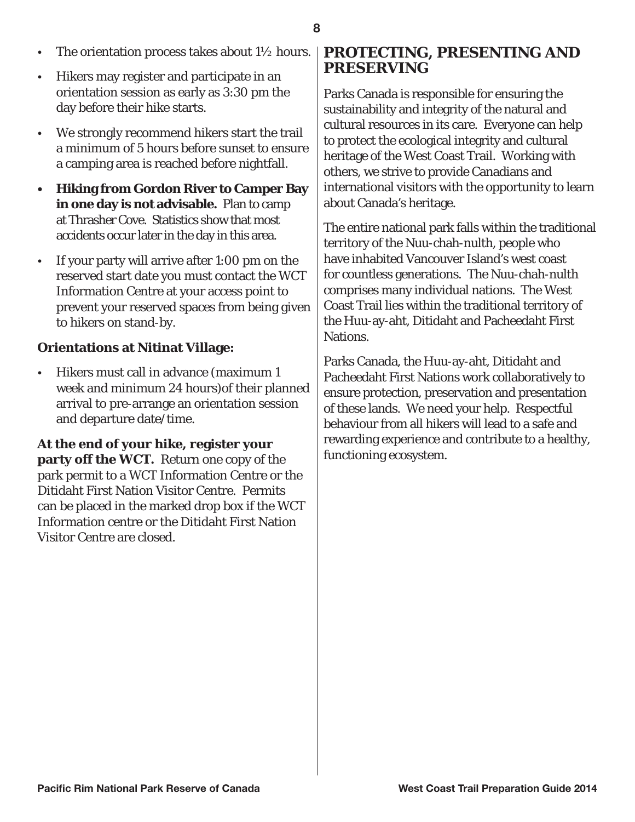- The orientation process takes about  $1\frac{1}{2}$  hours.
- Hikers may register and participate in an orientation session as early as 3:30 pm the day before their hike starts.
- We strongly recommend hikers start the trail a minimum of 5 hours before sunset to ensure a camping area is reached before nightfall.
- **• Hiking from Gordon River to Camper Bay in one day is not advisable.** Plan to camp at Thrasher Cove. Statistics show that most accidents occur later in the day in this area.
- If your party will arrive after 1:00 pm on the reserved start date you must contact the WCT Information Centre at your access point to prevent your reserved spaces from being given to hikers on stand-by.

#### **Orientations at Nitinat Village:**

• Hikers must call in advance (maximum 1 week and minimum 24 hours)of their planned arrival to pre-arrange an orientation session and departure date/time.

**At the end of your hike, register your party off the WCT.** Return one copy of the park permit to a WCT Information Centre or the Ditidaht First Nation Visitor Centre. Permits can be placed in the marked drop box if the WCT Information centre or the Ditidaht First Nation Visitor Centre are closed.

#### **PROTECTING, PRESENTING AND PRESERVING**

Parks Canada is responsible for ensuring the sustainability and integrity of the natural and cultural resources in its care. Everyone can help to protect the ecological integrity and cultural heritage of the West Coast Trail. Working with others, we strive to provide Canadians and international visitors with the opportunity to learn about Canada's heritage.

The entire national park falls within the traditional territory of the Nuu-chah-nulth, people who have inhabited Vancouver Island's west coast for countless generations. The Nuu-chah-nulth comprises many individual nations. The West Coast Trail lies within the traditional territory of the Huu-ay-aht, Ditidaht and Pacheedaht First Nations.

Parks Canada, the Huu-ay-aht, Ditidaht and Pacheedaht First Nations work collaboratively to ensure protection, preservation and presentation of these lands. We need your help. Respectful behaviour from all hikers will lead to a safe and rewarding experience and contribute to a healthy, functioning ecosystem.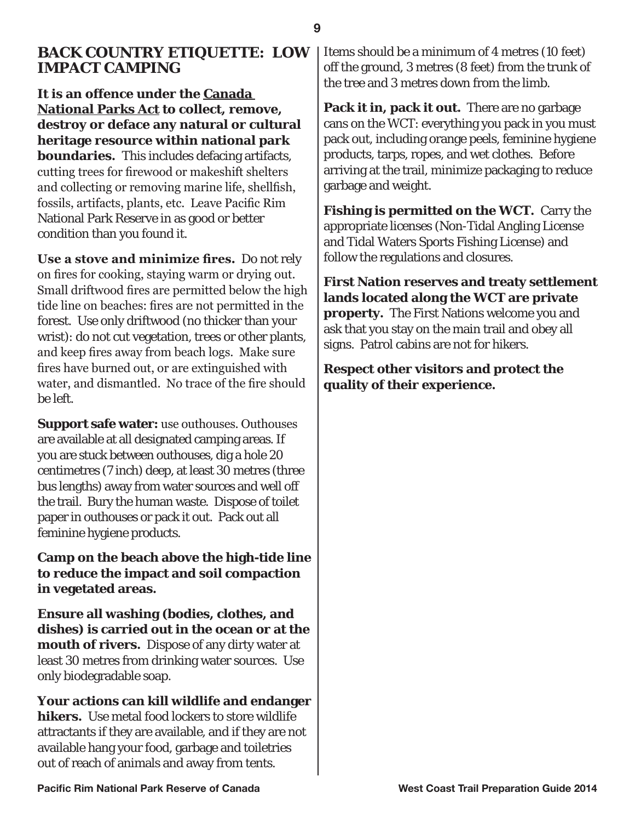#### **BACK COUNTRY ETIQUETTE: LOW IMPACT CAMPING**

**It is an offence under the Canada National Parks Act to collect, remove, destroy or deface any natural or cultural heritage resource within national park boundaries.** This includes defacing artifacts, cutting trees for firewood or makeshift shelters and collecting or removing marine life, shellfish, fossils, artifacts, plants, etc. Leave Pacific Rim National Park Reserve in as good or better condition than you found it.

**Use a stove and minimize fires.** Do not rely on fires for cooking, staying warm or drying out. Small driftwood fires are permitted below the high tide line on beaches: fires are not permitted in the forest. Use only driftwood (no thicker than your wrist): do not cut vegetation, trees or other plants, and keep fires away from beach logs. Make sure fires have burned out, or are extinguished with water, and dismantled. No trace of the fire should be left.

**Support safe water:** use outhouses. Outhouses are available at all designated camping areas. If you are stuck between outhouses, dig a hole 20 centimetres (7 inch) deep, at least 30 metres (three bus lengths) away from water sources and well off the trail. Bury the human waste. Dispose of toilet paper in outhouses or pack it out. Pack out all feminine hygiene products.

**Camp on the beach above the high-tide line to reduce the impact and soil compaction in vegetated areas.**

**Ensure all washing (bodies, clothes, and dishes) is carried out in the ocean or at the mouth of rivers.** Dispose of any dirty water at least 30 metres from drinking water sources. Use only biodegradable soap.

**Your actions can kill wildlife and endanger hikers.** Use metal food lockers to store wildlife attractants if they are available, and if they are not available hang your food, garbage and toiletries out of reach of animals and away from tents.

Items should be a minimum of 4 metres (10 feet) off the ground, 3 metres (8 feet) from the trunk of the tree and 3 metres down from the limb.

**Pack it in, pack it out.** There are no garbage cans on the WCT: everything you pack in you must pack out, including orange peels, feminine hygiene products, tarps, ropes, and wet clothes. Before arriving at the trail, minimize packaging to reduce garbage and weight.

**Fishing is permitted on the WCT.** Carry the appropriate licenses (Non-Tidal Angling License and Tidal Waters Sports Fishing License) and follow the regulations and closures.

**First Nation reserves and treaty settlement lands located along the WCT are private property.** The First Nations welcome you and ask that you stay on the main trail and obey all signs. Patrol cabins are not for hikers.

**Respect other visitors and protect the quality of their experience.**

**Pacific Rim National Park Reserve of Canada West Coast Trail Preparation Guide 2014**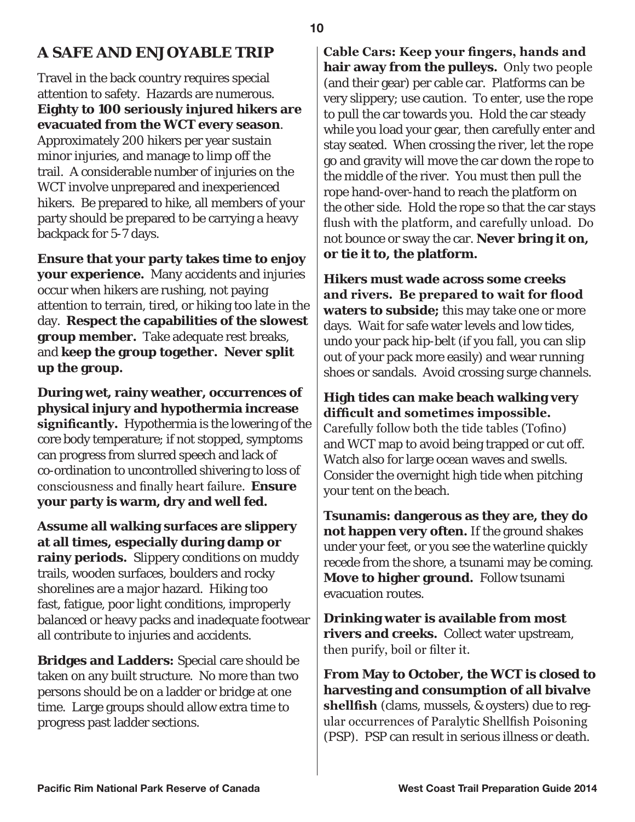## **A SAFE AND ENJOYABLE TRIP**

Travel in the back country requires special attention to safety. Hazards are numerous. **Eighty to 100 seriously injured hikers are evacuated from the WCT every season**. Approximately 200 hikers per year sustain minor injuries, and manage to limp off the trail. A considerable number of injuries on the WCT involve unprepared and inexperienced hikers. Be prepared to hike, all members of your party should be prepared to be carrying a heavy backpack for 5-7 days.

**Ensure that your party takes time to enjoy your experience.** Many accidents and injuries occur when hikers are rushing, not paying attention to terrain, tired, or hiking too late in the day. **Respect the capabilities of the slowest group member.** Take adequate rest breaks, and **keep the group together. Never split up the group.**

**During wet, rainy weather, occurrences of physical injury and hypothermia increase significantly.** Hypothermia is the lowering of the core body temperature; if not stopped, symptoms can progress from slurred speech and lack of co-ordination to uncontrolled shivering to loss of consciousness and finally heart failure. **Ensure your party is warm, dry and well fed.**

**Assume all walking surfaces are slippery at all times, especially during damp or rainy periods.** Slippery conditions on muddy trails, wooden surfaces, boulders and rocky shorelines are a major hazard. Hiking too fast, fatigue, poor light conditions, improperly balanced or heavy packs and inadequate footwear all contribute to injuries and accidents.

**Bridges and Ladders:** Special care should be taken on any built structure. No more than two persons should be on a ladder or bridge at one time. Large groups should allow extra time to progress past ladder sections.

**Cable Cars: Keep your fingers, hands and hair away from the pulleys.** Only two people (and their gear) per cable car. Platforms can be very slippery; use caution. To enter, use the rope to pull the car towards you. Hold the car steady while you load your gear, then carefully enter and stay seated. When crossing the river, let the rope go and gravity will move the car down the rope to the middle of the river. You must then pull the rope hand-over-hand to reach the platform on the other side. Hold the rope so that the car stays flush with the platform, and carefully unload. Do not bounce or sway the car. **Never bring it on, or tie it to, the platform.**

**Hikers must wade across some creeks and rivers. Be prepared to wait for flood waters to subside;** this may take one or more days. Wait for safe water levels and low tides, undo your pack hip-belt (if you fall, you can slip out of your pack more easily) and wear running shoes or sandals. Avoid crossing surge channels.

**High tides can make beach walking very difficult and sometimes impossible.** Carefully follow both the tide tables (Tofino) and WCT map to avoid being trapped or cut off. Watch also for large ocean waves and swells. Consider the overnight high tide when pitching your tent on the beach.

**Tsunamis: dangerous as they are, they do not happen very often.** If the ground shakes under your feet, or you see the waterline quickly recede from the shore, a tsunami may be coming. **Move to higher ground.** Follow tsunami evacuation routes.

**Drinking water is available from most rivers and creeks.** Collect water upstream, then purify, boil or filter it.

**From May to October, the WCT is closed to harvesting and consumption of all bivalve shellfish** (clams, mussels, & oysters) due to regular occurrences of Paralytic Shellfish Poisoning (PSP). PSP can result in serious illness or death.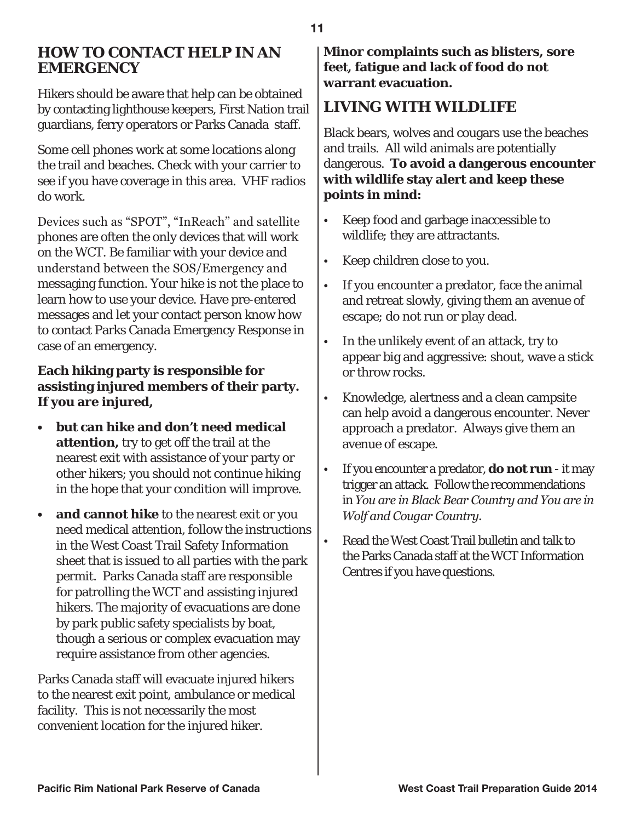#### **HOW TO CONTACT HELP IN AN EMERGENCY**

Hikers should be aware that help can be obtained by contacting lighthouse keepers, First Nation trail guardians, ferry operators or Parks Canada staff.

Some cell phones work at some locations along the trail and beaches. Check with your carrier to see if you have coverage in this area. VHF radios do work.

Devices such as "SPOT", "InReach" and satellite phones are often the only devices that will work on the WCT. Be familiar with your device and understand between the SOS/Emergency and messaging function. Your hike is not the place to learn how to use your device. Have pre-entered messages and let your contact person know how to contact Parks Canada Emergency Response in case of an emergency.

#### **Each hiking party is responsible for assisting injured members of their party. If you are injured,**

- **• but can hike and don't need medical attention,** try to get off the trail at the nearest exit with assistance of your party or other hikers; you should not continue hiking in the hope that your condition will improve.
- **and cannot hike** to the nearest exit or you need medical attention, follow the instructions in the West Coast Trail Safety Information sheet that is issued to all parties with the park permit. Parks Canada staff are responsible for patrolling the WCT and assisting injured hikers. The majority of evacuations are done by park public safety specialists by boat, though a serious or complex evacuation may require assistance from other agencies.

Parks Canada staff will evacuate injured hikers to the nearest exit point, ambulance or medical facility. This is not necessarily the most convenient location for the injured hiker.

**Minor complaints such as blisters, sore feet, fatigue and lack of food do not warrant evacuation.**

# **LIVING WITH WILDLIFE**

Black bears, wolves and cougars use the beaches and trails. All wild animals are potentially dangerous. **To avoid a dangerous encounter with wildlife stay alert and keep these points in mind:**

- Keep food and garbage inaccessible to wildlife; they are attractants.
- Keep children close to you.
- If you encounter a predator, face the animal and retreat slowly, giving them an avenue of escape; do not run or play dead.
- In the unlikely event of an attack, try to appear big and aggressive: shout, wave a stick or throw rocks.
- Knowledge, alertness and a clean campsite can help avoid a dangerous encounter. Never approach a predator. Always give them an avenue of escape.
- If you encounter a predator, **do not run**  it may trigger an attack. Follow the recommendations in *You are in Black Bear Country and You are in Wolf and Cougar Country.*
- Read the West Coast Trail bulletin and talk to the Parks Canada staff at the WCT Information Centres if you have questions.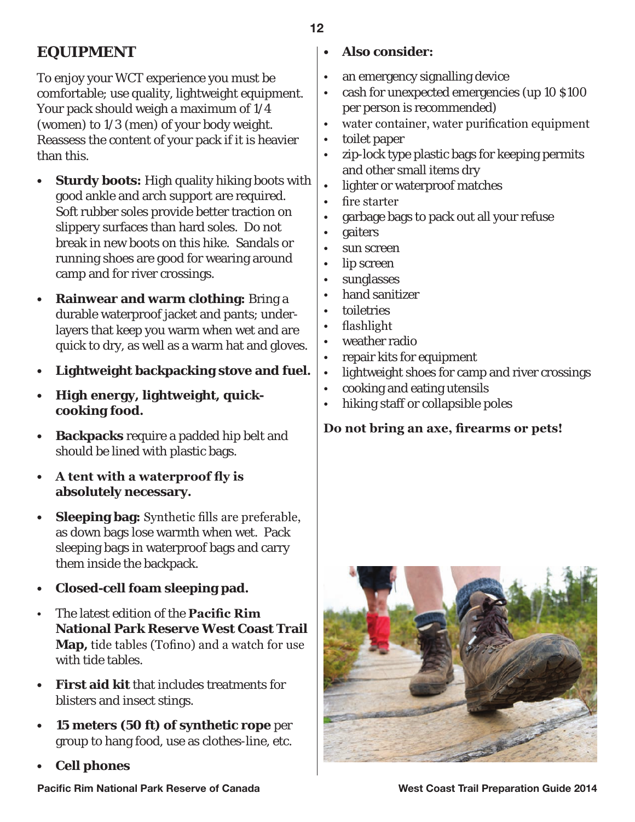**EQUIPMENT**

To enjoy your WCT experience you must be comfortable; use quality, lightweight equipment. Your pack should weigh a maximum of 1/4 (women) to 1/3 (men) of your body weight. Reassess the content of your pack if it is heavier than this.

- **• Sturdy boots:** High quality hiking boots with good ankle and arch support are required. Soft rubber soles provide better traction on slippery surfaces than hard soles. Do not break in new boots on this hike. Sandals or running shoes are good for wearing around camp and for river crossings.
- **Rainwear and warm clothing:** Bring a durable waterproof jacket and pants; underlayers that keep you warm when wet and are quick to dry, as well as a warm hat and gloves. **•**
- **Lightweight backpacking stove and fuel. •**
- **High energy, lightweight, quickcooking food. •**
- **Backpacks** require a padded hip belt and should be lined with plastic bags. **•**
- **A tent with a waterproof fly is • absolutely necessary.**
- **Sleeping bag:** Synthetic fills are preferable, as down bags lose warmth when wet. Pack sleeping bags in waterproof bags and carry them inside the backpack. **•**
- **Closed-cell foam sleeping pad. •**
- The latest edition of the **Pacific Rim National Park Reserve West Coast Trail Map,** tide tables (Tofino) and a watch for use with tide tables. •
- **First aid kit** that includes treatments for blisters and insect stings. **•**
- **15 meters (50 ft) of synthetic rope** per group to hang food, use as clothes-line, etc. **•**
- **Cell phones •**

#### **• Also consider:**

- an emergency signalling device •
- cash for unexpected emergencies (up 10 \$100 per person is recommended) •
- water container, water purification equipment •
- toilet paper •
- zip-lock type plastic bags for keeping permits and other small items dry •
- lighter or waterproof matches •
- fire starter •
- garbage bags to pack out all your refuse •
- gaiters •
- sun screen •
- lip screen •
- sunglasses •
- hand sanitizer •
- toiletries •
- flashlight •
- weather radio •
- repair kits for equipment •
- lightweight shoes for camp and river crossings •
- cooking and eating utensils •
- hiking staff or collapsible poles •

**Do not bring an axe, firearms or pets!**



**Pacific Rim National Park Reserve of Canada West Coast Trail Preparation Guide 2014**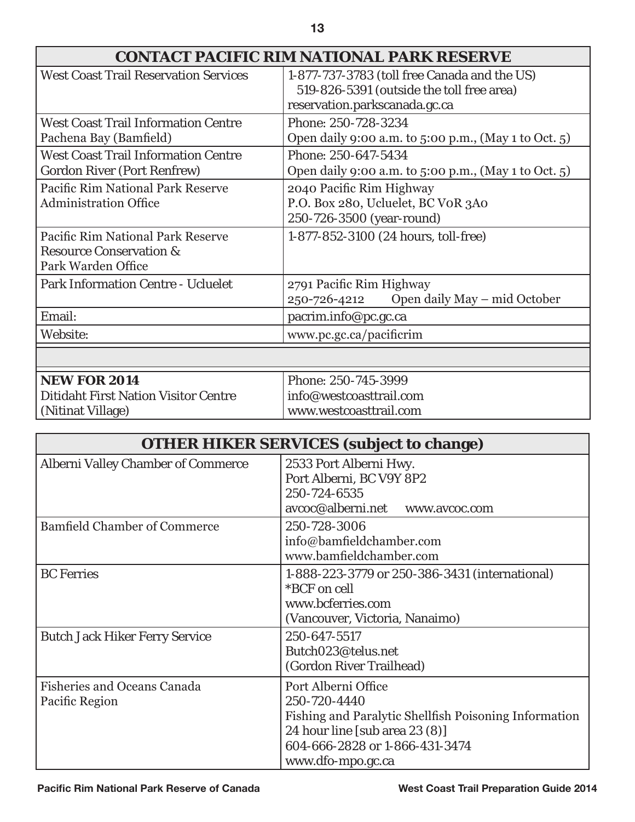| 13                                                                                            |                                                                                                                            |  |
|-----------------------------------------------------------------------------------------------|----------------------------------------------------------------------------------------------------------------------------|--|
| <b>CONTACT PACIFIC RIM NATIONAL PARK RESERVE</b>                                              |                                                                                                                            |  |
| <b>West Coast Trail Reservation Services</b>                                                  | 1-877-737-3783 (toll free Canada and the US)<br>519-826-5391 (outside the toll free area)<br>reservation.parkscanada.gc.ca |  |
| <b>West Coast Trail Information Centre</b><br>Pachena Bay (Bamfield)                          | Phone: 250-728-3234<br>Open daily 9:00 a.m. to 5:00 p.m., (May 1 to Oct. 5)                                                |  |
| <b>West Coast Trail Information Centre</b><br><b>Gordon River (Port Renfrew)</b>              | Phone: 250-647-5434<br>Open daily 9:00 a.m. to 5:00 p.m., (May 1 to Oct. 5)                                                |  |
| Pacific Rim National Park Reserve<br><b>Administration Office</b>                             | 2040 Pacific Rim Highway<br>P.O. Box 280, Ucluelet, BC VOR 3A0<br>250-726-3500 (year-round)                                |  |
| Pacific Rim National Park Reserve<br><b>Resource Conservation &amp;</b><br>Park Warden Office | 1-877-852-3100 (24 hours, toll-free)                                                                                       |  |

| <b>NEW FOR 2014</b>                         | Phone: 250-745-3999     |
|---------------------------------------------|-------------------------|
| <b>Ditidaht First Nation Visitor Centre</b> | info@westcoasttrail.com |
| (Nitinat Village)                           | www.westcoasttrail.com  |
|                                             |                         |

250-726-4212

Park Information Centre - Ucluelet 2791 Pacific Rim Highway

Email: pacrim.info@pc.gc.ca Website: www.pc.gc.ca/pacificrim

| <b>OTHER HIKER SERVICES (subject to change)</b>      |                                                                                                                                                                                       |  |
|------------------------------------------------------|---------------------------------------------------------------------------------------------------------------------------------------------------------------------------------------|--|
| <b>Alberni Valley Chamber of Commerce</b>            | 2533 Port Alberni Hwy.<br>Port Alberni, BC V9Y 8P2<br>250-724-6535<br>avcoc@alberni.net<br>www.avcoc.com                                                                              |  |
| <b>Bamfield Chamber of Commerce</b>                  | 250-728-3006<br>info@bamfieldchamber.com<br>www.bamfieldchamber.com                                                                                                                   |  |
| <b>BC</b> Ferries                                    | 1-888-223-3779 or 250-386-3431 (international)<br>*BCF on cell<br>www.bcferries.com<br>(Vancouver, Victoria, Nanaimo)                                                                 |  |
| <b>Butch Jack Hiker Ferry Service</b>                | 250-647-5517<br>Butch023@telus.net<br>(Gordon River Trailhead)                                                                                                                        |  |
| <b>Fisheries and Oceans Canada</b><br>Pacific Region | Port Alberni Office<br>250-720-4440<br>Fishing and Paralytic Shellfish Poisoning Information<br>24 hour line [sub area 23 (8)]<br>604-666-2828 or 1-866-431-3474<br>www.dfo-mpo.gc.ca |  |

Open daily May – mid October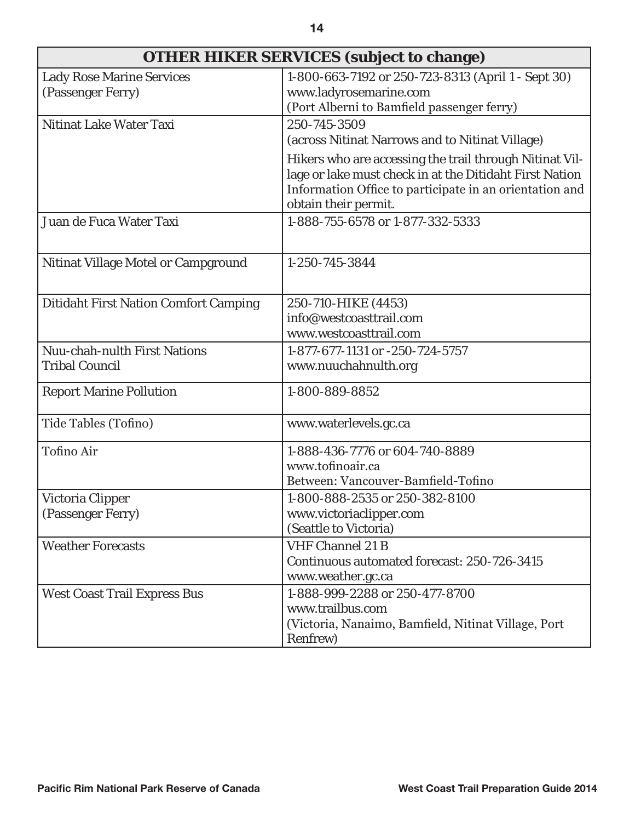| OTHER HIKER SERVICES (subject to change)                     |                                                                                                                                                                                                       |
|--------------------------------------------------------------|-------------------------------------------------------------------------------------------------------------------------------------------------------------------------------------------------------|
| <b>Lady Rose Marine Services</b><br>(Passenger Ferry)        | 1-800-663-7192 or 250-723-8313 (April 1 - Sept 30)<br>www.ladyrosemarine.com<br>(Port Alberni to Bamfield passenger ferry)                                                                            |
| Nitinat Lake Water Taxi                                      | 250-745-3509<br>(across Nitinat Narrows and to Nitinat Village)                                                                                                                                       |
|                                                              | Hikers who are accessing the trail through Nitinat Vil-<br>lage or lake must check in at the Ditidaht First Nation<br>Information Office to participate in an orientation and<br>obtain their permit. |
| Juan de Fuca Water Taxi                                      | 1-888-755-6578 or 1-877-332-5333                                                                                                                                                                      |
| <b>Nitinat Village Motel or Campground</b>                   | 1-250-745-3844                                                                                                                                                                                        |
| <b>Ditidaht First Nation Comfort Camping</b>                 | 250-710-HIKE (4453)<br>info@westcoasttrail.com<br>www.westcoasttrail.com                                                                                                                              |
| <b>Nuu-chah-nulth First Nations</b><br><b>Tribal Council</b> | 1-877-677-1131 or -250-724-5757<br>www.nuuchahnulth.org                                                                                                                                               |
| <b>Report Marine Pollution</b>                               | 1-800-889-8852                                                                                                                                                                                        |
| Tide Tables (Tofino)                                         | www.waterlevels.gc.ca                                                                                                                                                                                 |
| Tofino Air                                                   | 1-888-436-7776 or 604-740-8889<br>www.tofinoair.ca<br>Between: Vancouver-Bamfield-Tofino                                                                                                              |
| Victoria Clipper<br>(Passenger Ferry)                        | 1-800-888-2535 or 250-382-8100<br>www.victoriaclipper.com<br>(Seattle to Victoria)                                                                                                                    |
| <b>Weather Forecasts</b>                                     | <b>VHF Channel 21 B</b><br>Continuous automated forecast: 250-726-3415<br>www.weather.gc.ca                                                                                                           |
| <b>West Coast Trail Express Bus</b>                          | 1-888-999-2288 or 250-477-8700<br>www.trailbus.com<br>(Victoria, Nanaimo, Bamfield, Nitinat Village, Port<br>Renfrew)                                                                                 |

г

┑